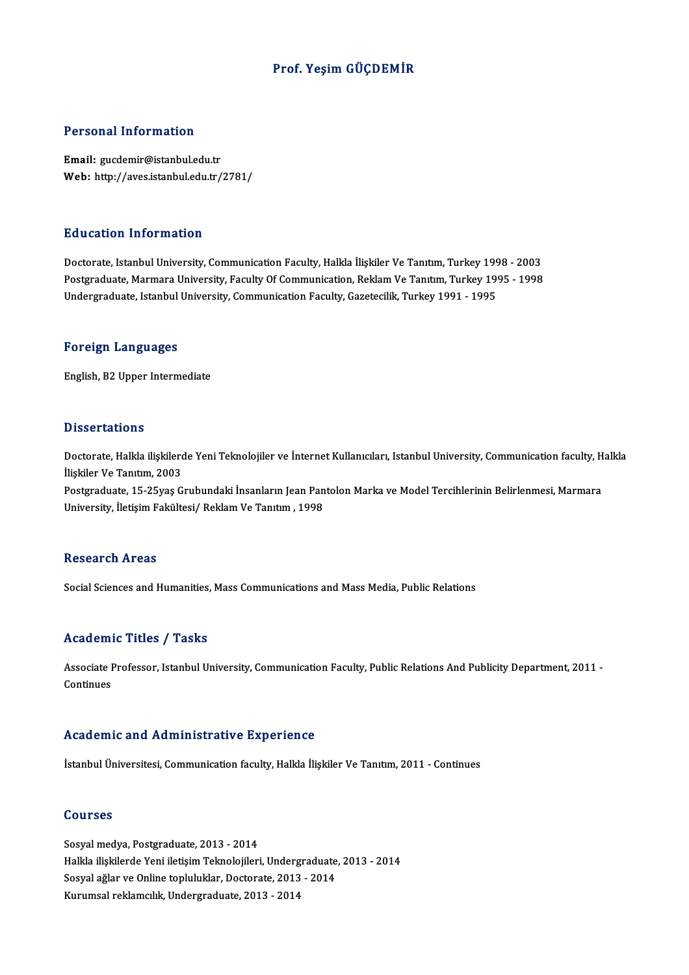## Prof. Yeşim GÜÇDEMİR

## Personal Information

Email: gucdemir@istanbul.edu.tr Web: http://aves.istanbul.edu.tr/2781/

## Education Information

Doctorate, Istanbul University, Communication Faculty, Halkla İlişkiler Ve Tanıtım, Turkey 1998 - 2003 Postgraduate, Marmara University, Faculty Of Communication, Reklam Ve Tanıtım, Turkey 1995 - 1998 Undergraduate, Istanbul University, Communication Faculty, Gazetecilik, Turkey 1991 - 1995

## Foreign Languages

English,B2Upper Intermediate

## **Dissertations**

Dissertations<br>Doctorate, Halkla ilişkilerde Yeni Teknolojiler ve İnternet Kullanıcıları, Istanbul University, Communication faculty, Halkla<br>İlişkiler Ve Tanıtım, 2003 *Exsoor* carromo<br>Doctorate, Halkla ilişkilerd<br>İlişkiler Ve Tanıtım, 2003<br>Bostanaduata 15.25.756 C Doctorate, Halkla ilişkilerde Yeni Teknolojiler ve İnternet Kullanıcıları, Istanbul University, Communication faculty, H<br>İlişkiler Ve Tanıtım, 2003<br>Postgraduate, 15-25yaş Grubundaki İnsanların Jean Pantolon Marka ve Model

İlişkiler Ve Tanıtım, 2003<br>Postgraduate, 15-25yaş Grubundaki İnsanların Jean Pantolon Marka ve Model Tercihlerinin Belirlenmesi, Marmara<br>University, İletişim Fakültesi/ Reklam Ve Tanıtım , 1998

### **Research Areas**

Social Sciences and Humanities, Mass Communications and Mass Media, Public Relations

## Academic Titles / Tasks

Academic Titles / Tasks<br>Associate Professor, Istanbul University, Communication Faculty, Public Relations And Publicity Department, 2011 -<br>Continues Associate I<br>Continues Academic and Administrative Experience

İstanbul Üniversitesi, Communication faculty, Halkla İlişkiler Ve Tanıtım, 2011 - Continues

## Courses

Sosyal medya, Postgraduate, 2013 - 2014 Halkla ilişkilerde Yeni iletişim Teknolojileri, Undergraduate, 2013 - 2014 Sosyal ağlar ve Online topluluklar, Doctorate, 2013 - 2014 Kurumsal reklamcılık, Undergraduate, 2013 - 2014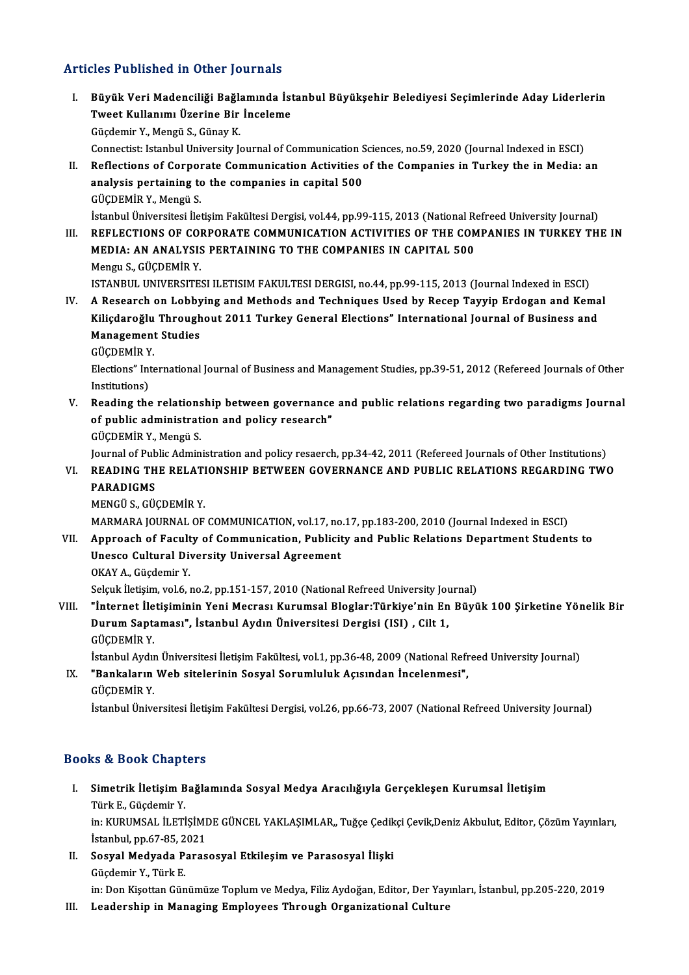## Articles Published in Other Journals

- rticles Published in Other Journals<br>I. Büyük Veri Madenciliği Bağlamında İstanbul Büyükşehir Belediyesi Seçimlerinde Aday Liderlerin<br> Tweet Kullanımı Üzerine Bir İnceleme Tweet Kullanımı Üzerine Fourthand<br>Büyük Veri Madenciliği Bağlamında İst<br>Tweet Kullanımı Üzerine Bir İnceleme<br>Güsdamir Y. Mangü S. Günev K Tweet Kullanımı Üzerine Bir İnceleme<br>Güçdemir Y., Mengü S., Günay K. Connectist: Istanbul University Journal of Communication Sciences, no.59, 2020 (Journal Indexed in ESCI) II. Reflections of Corporate Communication Activities of the Companies in Turkey the in Media: an Connectist: Istanbul University Journal of Communication S<br>Reflections of Corporate Communication Activities<br>analysis pertaining to the companies in capital 500<br>CÜCPEMIP Y, Mongy S
- Reflections of Corpor<br>analysis pertaining to<br>GÜÇDEMİR Y., Mengü S.<br>İstanbul Üniversitesi İle analysis pertaining to the companies in capital 500<br>GÜÇDEMİR Y., Mengü S.<br>İstanbul Üniversitesi İletişim Fakültesi Dergisi, vol.44, pp.99-115, 2013 (National Refreed University Journal)<br>REELECTIONS OF CORRORATE COMMUNICATI
- GÜÇDEMİR Y., Mengü S.<br>Istanbul Üniversitesi İletişim Fakültesi Dergisi, vol.44, pp.99-115, 2013 (National Refreed University Journal)<br>III. REFLECTIONS OF CORPORATE COMMUNICATION ACTIVITIES OF THE COMPANIES IN TURKEY TH İstanbul Üniversitesi İletişim Fakültesi Dergisi, vol.44, pp.99-115, 2013 (National R<br>REFLECTIONS OF CORPORATE COMMUNICATION ACTIVITIES OF THE COM<br>MEDIA: AN ANALYSIS PERTAINING TO THE COMPANIES IN CAPITAL 500<br>Mengu S. CÜCD Mengu S.,GÜÇDEMİRY. MEDIA: AN ANALYSIS PERTAINING TO THE COMPANIES IN CAPITAL 500<br>Mengu S., GÜÇDEMİR Y.<br>ISTANBUL UNIVERSITESI ILETISIM FAKULTESI DERGISI, no.44, pp.99-115, 2013 (Journal Indexed in ESCI)<br>A Besearsh on Labbuing and Methods and

Mengu S., GÜÇDEMİR Y.<br>ISTANBUL UNIVERSITESI ILETISIM FAKULTESI DERGISI, no.44, pp.99-115, 2013 (Journal Indexed in ESCI)<br>IV. A Research on Lobbying and Methods and Techniques Used by Recep Tayyip Erdogan and Kemal<br>Kili ISTANBUL UNIVERSITESI ILETISIM FAKULTESI DERGISI, no.44, pp.99-115, 2013 (Journal Indexed in ESCI)<br>A Research on Lobbying and Methods and Techniques Used by Recep Tayyip Erdogan and Kema<br>Kiliçdaroğlu Throughout 2011 Turkey IV. A Research on Lobbying and Methods and Techniques Used by Recep Tayyip Erdogan and Kemal<br>Kiliçdaroğlu Throughout 2011 Turkey General Elections" International Journal of Business and **Management Studies** 

GÜCDEMİR Y

Elections" International Journal of Business and Management Studies, pp.39-51, 2012 (Refereed Journals of Other<br>Institutions) Elections" International Journal of Business and Management Studies, pp.39-51, 2012 (Refereed Journals of Other<br>Institutions)<br>V. Reading the relationship between governance and public relations regarding two paradigms Jour

Institutions)<br>Reading the relationship between governance<br>of public administration and policy research"<br>CÜCDEMİP Y, Mongü S of public administration and policy research"<br>GÜÇDEMİR Y., Mengü S. of public administration and policy research"<br>GÜÇDEMİR Y., Mengü S.<br>Journal of Public Administration and policy resaerch, pp.34-42, 2011 (Refereed Journals of Other Institutions)<br>READING THE RELATIONSHIR RETWEEN COVERNANCE

## VI. READING THE RELATIONSHIP BETWEEN GOVERNANCE AND PUBLIC RELATIONS REGARDING TWO Journal of Pub<br><mark>READING TH</mark><br>PARADIGMS<br>MENCÜ S. CÜ

MENGÜS.,GÜÇDEMİRY.

MARMARAJOURNALOF COMMUNICATION,vol.17,no.17,pp.183-200,2010 (Journal Indexed inESCI)

MENGÜ S., GÜÇDEMİR Y.<br>MARMARA JOURNAL OF COMMUNICATION, vol.17, no.17, pp.183-200, 2010 (Journal Indexed in ESCI)<br>VII. Approach of Faculty of Communication, Publicity and Public Relations Department Students to<br>Unesse MARMARA JOURNAL OF COMMUNICATION, vol.17, no<br>Approach of Faculty of Communication, Publicit<br>Unesco Cultural Diversity Universal Agreement<br>OKAY A. Cüclomir Y Approach of Facult<br>Unesco Cultural Di<br>OKAY A., Güçdemir Y.<br>Selevk İletisim vel 6 . Unesco Cultural Diversity Universal Agreement<br>OKAY A., Güçdemir Y.<br>Selçuk İletişim, vol.6, no.2, pp.151-157, 2010 (National Refreed University Journal)

OKAY A., Güçdemir Y.<br>Selçuk İletişim, vol.6, no.2, pp.151-157, 2010 (National Refreed University Journal)<br>VIII. "İnternet İletişiminin Yeni Mecrası Kurumsal Bloglar:Türkiye'nin En Büyük 100 Şirketine Yönelik Bir<br>Durum Selçuk İletişim, vol.6, no.2, pp.151-157, 2010 (National Refreed University Journal Tiernet İletişiminin Yeni Mecrası Kurumsal Bloglar:Türkiye'nin En Durum Saptaması", İstanbul Aydın Üniversitesi Dergisi (ISI) , Cilt 1,<br>Cü "İnternet İle<br>Durum Sapt<del>.</del><br>GÜÇDEMİR Y. Durum Saptaması", İstanbul Aydın Üniversitesi Dergisi (ISI) , Cilt 1,<br>GÜÇDEMİR Y.<br>İstanbul Aydın Üniversitesi İletişim Fakültesi, vol.1, pp.36-48, 2009 (National Refreed University Journal)

GÜÇDEMİR Y.<br>İstanbul Aydın Üniversitesi İletişim Fakültesi, vol.1, pp.36-48, 2009 (National Refr<br>IX. "Bankaların Web sitelerinin Sosyal Sorumluluk Açısından İncelenmesi",<br>CÜCDEMİR Y İstanbul Aydır<br>**"Bankaların**<br>GÜÇDEMİR Y.<br>İstanbul Ünive

GÜÇDEMİR Y.<br>İstanbul Üniversitesi İletişim Fakültesi Dergisi, vol.26, pp.66-73, 2007 (National Refreed University Journal)

## Books&Book Chapters

ooks & Book Chapters<br>I. Simetrik İletişim Bağlamında Sosyal Medya Aracılığıyla Gerçekleşen Kurumsal İletişim<br>Türk E. Gücdamir V Türk E., Güçdemir Y.<br>Türk E., Güçdemir Y.<br>in: KUBUMSAL İLETİ Simetrik İletişim Bağlamında Sosyal Medya Aracılığıyla Gerçekleşen Kurumsal İletişim<br>Türk E., Güçdemir Y.<br>in: KURUMSAL İLETİŞİMDE GÜNCEL YAKLAŞIMLAR,, Tuğçe Çedikçi Çevik,Deniz Akbulut, Editor, Çözüm Yayınları,<br>İstanbul an Türk E., Güçdemir Y.<br>in: KURUMSAL İLETİŞİMI<br>İstanbul, pp.67-85, 2021<br>Sesyal Medyada Baras

in: KURUMSAL İLETİŞİMDE GÜNCEL YAKLAŞIMLAR,, Tuğçe Çedik<br>İstanbul, pp.67-85, 2021<br>II. Sosyal Medyada Parasosyal Etkileşim ve Parasosyal İlişki<br>Gücdomir V. Türk E

İstanbul, pp.67-85, 2<br>Sosyal Medyada P.<br>Güçdemir Y., Türk E.<br>in: Don Kissttan Gün

Güçdemir Y., Türk E.<br>in: Don Kişottan Günümüze Toplum ve Medya, Filiz Aydoğan, Editor, Der Yayınları, İstanbul, pp.205-220, 2019

III. Leadership in Managing Employees Through Organizational Culture